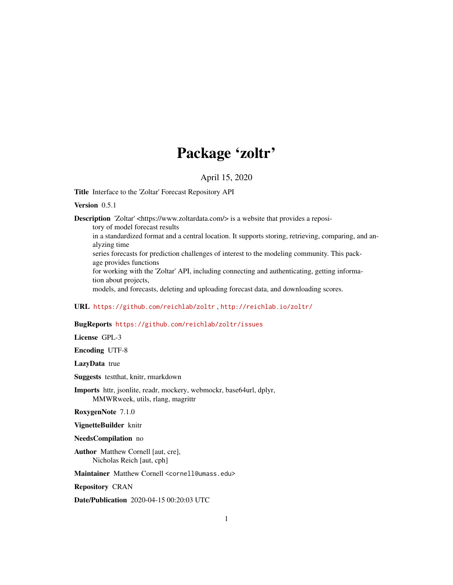# Package 'zoltr'

#### April 15, 2020

Title Interface to the 'Zoltar' Forecast Repository API

#### Version 0.5.1

Description 'Zoltar' <https://www.zoltardata.com/> is a website that provides a repository of model forecast results

in a standardized format and a central location. It supports storing, retrieving, comparing, and analyzing time

series forecasts for prediction challenges of interest to the modeling community. This package provides functions

for working with the 'Zoltar' API, including connecting and authenticating, getting information about projects,

models, and forecasts, deleting and uploading forecast data, and downloading scores.

#### URL <https://github.com/reichlab/zoltr> , <http://reichlab.io/zoltr/>

#### BugReports <https://github.com/reichlab/zoltr/issues>

License GPL-3

Encoding UTF-8

LazyData true

Suggests testthat, knitr, rmarkdown

Imports httr, jsonlite, readr, mockery, webmockr, base64url, dplyr, MMWRweek, utils, rlang, magrittr

RoxygenNote 7.1.0

VignetteBuilder knitr

#### NeedsCompilation no

Author Matthew Cornell [aut, cre], Nicholas Reich [aut, cph]

Maintainer Matthew Cornell <cornell@umass.edu>

Repository CRAN

Date/Publication 2020-04-15 00:20:03 UTC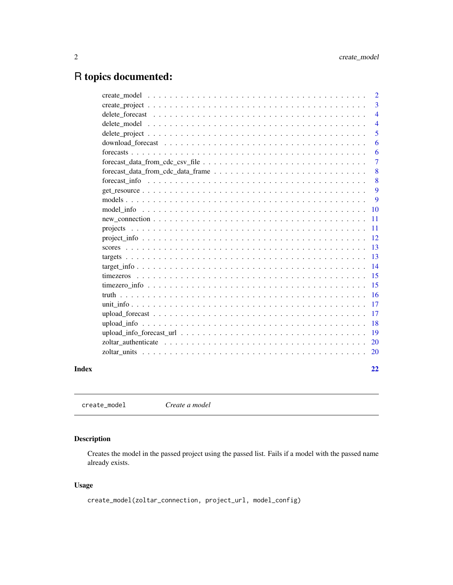## <span id="page-1-0"></span>R topics documented:

|       |                                                                                              | $\overline{2}$ |
|-------|----------------------------------------------------------------------------------------------|----------------|
|       |                                                                                              | 3              |
|       |                                                                                              | $\overline{4}$ |
|       |                                                                                              | $\overline{4}$ |
|       |                                                                                              | 5              |
|       |                                                                                              | 6              |
|       |                                                                                              | 6              |
|       |                                                                                              | $\overline{7}$ |
|       | $forecast_data_from_cdc_data_fframe \ldots \ldots \ldots \ldots \ldots \ldots \ldots \ldots$ | 8              |
|       |                                                                                              | 8              |
|       |                                                                                              | 9              |
|       |                                                                                              | 9              |
|       |                                                                                              | <b>10</b>      |
|       |                                                                                              | 11             |
|       |                                                                                              | 11             |
|       |                                                                                              | 12             |
|       |                                                                                              | 13             |
|       |                                                                                              | 13             |
|       |                                                                                              | 14             |
|       |                                                                                              | 15             |
|       |                                                                                              | 15             |
|       |                                                                                              | 16             |
|       |                                                                                              | 17             |
|       |                                                                                              | 17             |
|       |                                                                                              | 18             |
|       |                                                                                              | 19             |
|       |                                                                                              | <b>20</b>      |
|       |                                                                                              | <b>20</b>      |
| Index |                                                                                              | 22             |

create\_model *Create a model*

#### Description

Creates the model in the passed project using the passed list. Fails if a model with the passed name already exists.

#### Usage

```
create_model(zoltar_connection, project_url, model_config)
```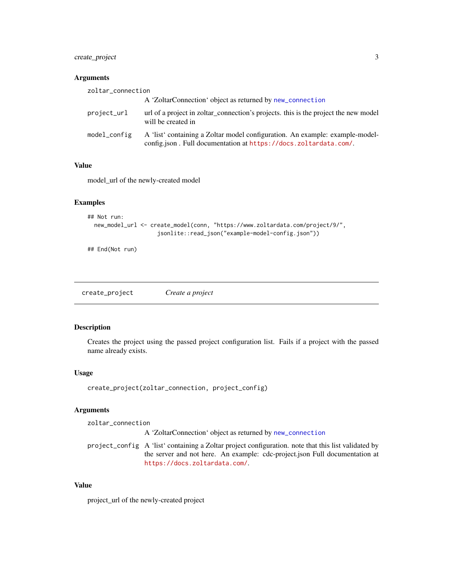<span id="page-2-0"></span>create\_project 3

#### Arguments

| zoltar_connection |                                                                                                                                                  |  |
|-------------------|--------------------------------------------------------------------------------------------------------------------------------------------------|--|
|                   | A 'ZoltarConnection' object as returned by new_connection                                                                                        |  |
| project_url       | url of a project in zoltar_connection's projects, this is the project the new model<br>will be created in                                        |  |
| model_config      | A 'list' containing a Zoltar model configuration. An example: example-model-<br>config.json. Full documentation at https://docs.zoltardata.com/. |  |

#### Value

model\_url of the newly-created model

#### Examples

```
## Not run:
  new_model_url <- create_model(conn, "https://www.zoltardata.com/project/9/",
                     jsonlite::read_json("example-model-config.json"))
```
## End(Not run)

create\_project *Create a project*

#### Description

Creates the project using the passed project configuration list. Fails if a project with the passed name already exists.

#### Usage

```
create_project(zoltar_connection, project_config)
```
#### Arguments

| zoltar_connection |                                                                                                     |
|-------------------|-----------------------------------------------------------------------------------------------------|
|                   | A 'ZoltarConnection' object as returned by new_connection                                           |
|                   | project_config A 'list' containing a Zoltar project configuration, note that this list validated by |
|                   | the server and not here. An example: cdc-project.json Full documentation at                         |
|                   | https://docs.zoltardata.com/.                                                                       |

#### Value

project\_url of the newly-created project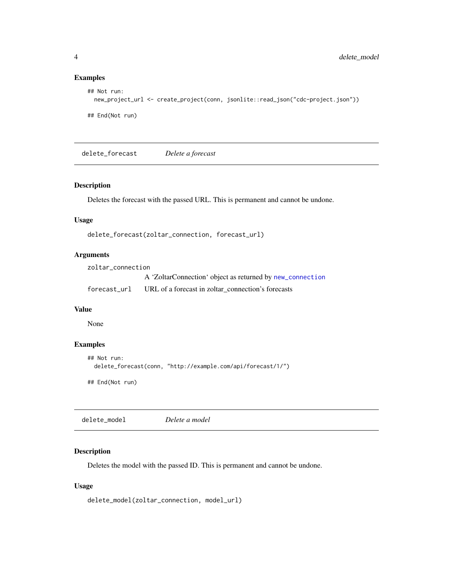#### Examples

```
## Not run:
  new_project_url <- create_project(conn, jsonlite::read_json("cdc-project.json"))
## End(Not run)
```
delete\_forecast *Delete a forecast*

#### Description

Deletes the forecast with the passed URL. This is permanent and cannot be undone.

#### Usage

```
delete_forecast(zoltar_connection, forecast_url)
```
#### Arguments

| zoltar connection |                                                           |  |
|-------------------|-----------------------------------------------------------|--|
|                   | A 'ZoltarConnection' object as returned by new_connection |  |
| forecast url      | URL of a forecast in zoltar connection's forecasts        |  |

#### Value

None

#### Examples

```
## Not run:
  delete_forecast(conn, "http://example.com/api/forecast/1/")
## End(Not run)
```

| Delete a model |
|----------------|
|----------------|

#### Description

Deletes the model with the passed ID. This is permanent and cannot be undone.

#### Usage

```
delete_model(zoltar_connection, model_url)
```
<span id="page-3-0"></span>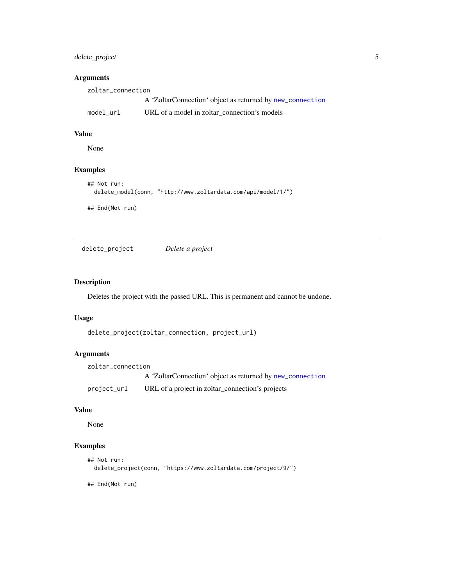#### <span id="page-4-0"></span>delete\_project 5

#### Arguments

| zoltar connection |                                                           |
|-------------------|-----------------------------------------------------------|
|                   | A 'ZoltarConnection' object as returned by new_connection |
| model url         | URL of a model in zoltar connection's models              |

#### Value

None

#### Examples

```
## Not run:
  delete_model(conn, "http://www.zoltardata.com/api/model/1/")
```
## End(Not run)

delete\_project *Delete a project*

#### Description

Deletes the project with the passed URL. This is permanent and cannot be undone.

#### Usage

```
delete_project(zoltar_connection, project_url)
```
#### Arguments

```
zoltar_connection
                 A 'ZoltarConnection' object as returned by new_connection
project_url URL of a project in zoltar_connection's projects
```
#### Value

None

#### Examples

```
## Not run:
 delete_project(conn, "https://www.zoltardata.com/project/9/")
```
## End(Not run)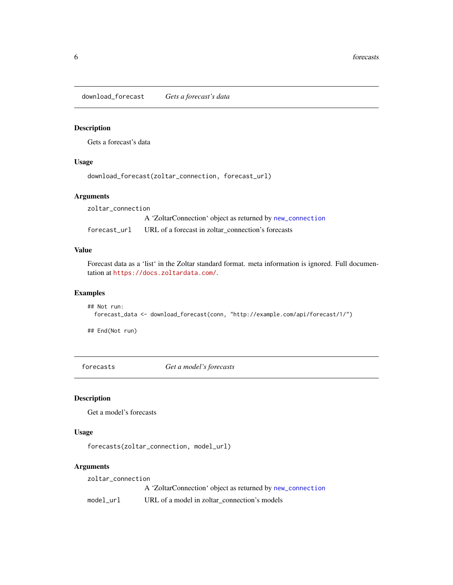<span id="page-5-0"></span>download\_forecast *Gets a forecast's data*

#### Description

Gets a forecast's data

#### Usage

download\_forecast(zoltar\_connection, forecast\_url)

#### Arguments

zoltar\_connection A 'ZoltarConnection' object as returned by [new\\_connection](#page-10-1) forecast\_url URL of a forecast in zoltar\_connection's forecasts

#### Value

Forecast data as a 'list' in the Zoltar standard format. meta information is ignored. Full documentation at <https://docs.zoltardata.com/>.

#### Examples

```
## Not run:
 forecast_data <- download_forecast(conn, "http://example.com/api/forecast/1/")
```
## End(Not run)

forecasts *Get a model's forecasts*

#### Description

Get a model's forecasts

#### Usage

```
forecasts(zoltar_connection, model_url)
```
#### Arguments

zoltar\_connection

A 'ZoltarConnection' object as returned by [new\\_connection](#page-10-1)

model\_url URL of a model in zoltar\_connection's models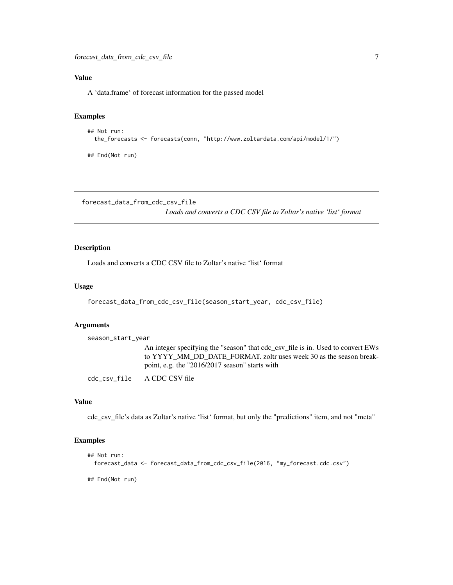#### <span id="page-6-0"></span>Value

A 'data.frame' of forecast information for the passed model

#### Examples

```
## Not run:
 the_forecasts <- forecasts(conn, "http://www.zoltardata.com/api/model/1/")
## End(Not run)
```
forecast\_data\_from\_cdc\_csv\_file

*Loads and converts a CDC CSV file to Zoltar's native 'list' format*

#### Description

Loads and converts a CDC CSV file to Zoltar's native 'list' format

#### Usage

```
forecast_data_from_cdc_csv_file(season_start_year, cdc_csv_file)
```
#### Arguments

season\_start\_year

An integer specifying the "season" that cdc\_csv\_file is in. Used to convert EWs to YYYY\_MM\_DD\_DATE\_FORMAT. zoltr uses week 30 as the season breakpoint, e.g. the "2016/2017 season" starts with

cdc\_csv\_file A CDC CSV file

#### Value

cdc\_csv\_file's data as Zoltar's native 'list' format, but only the "predictions" item, and not "meta"

#### Examples

```
## Not run:
 forecast_data <- forecast_data_from_cdc_csv_file(2016, "my_forecast.cdc.csv")
## End(Not run)
```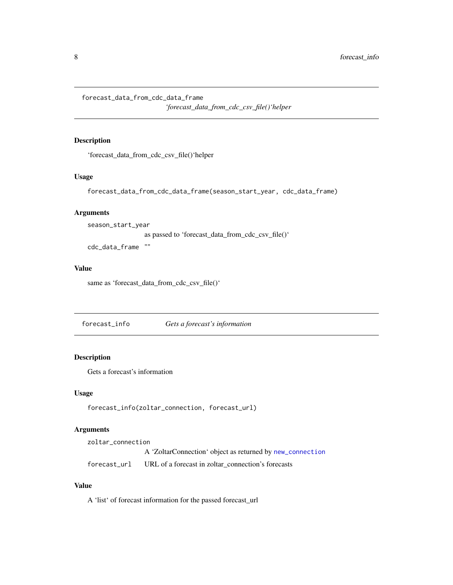<span id="page-7-0"></span>forecast\_data\_from\_cdc\_data\_frame

*'forecast\_data\_from\_cdc\_csv\_file()'helper*

#### Description

'forecast\_data\_from\_cdc\_csv\_file()'helper

#### Usage

forecast\_data\_from\_cdc\_data\_frame(season\_start\_year, cdc\_data\_frame)

#### Arguments

season\_start\_year as passed to 'forecast\_data\_from\_cdc\_csv\_file()'

cdc\_data\_frame ""

#### Value

same as 'forecast\_data\_from\_cdc\_csv\_file()'

forecast\_info *Gets a forecast's information*

#### Description

Gets a forecast's information

#### Usage

forecast\_info(zoltar\_connection, forecast\_url)

#### Arguments

zoltar\_connection A 'ZoltarConnection' object as returned by [new\\_connection](#page-10-1) forecast\_url URL of a forecast in zoltar\_connection's forecasts

#### Value

A 'list' of forecast information for the passed forecast\_url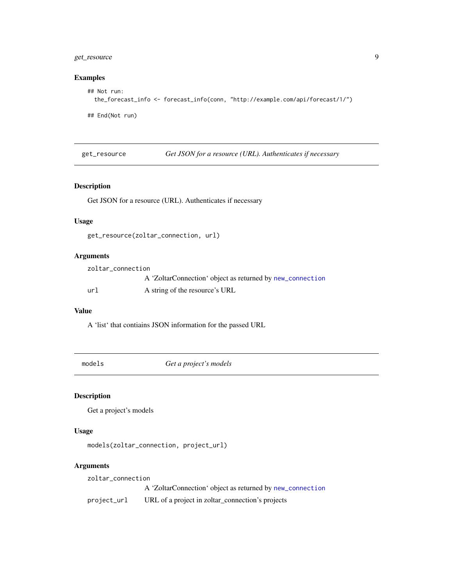#### <span id="page-8-0"></span>get\_resource 9

#### Examples

```
## Not run:
 the_forecast_info <- forecast_info(conn, "http://example.com/api/forecast/1/")
```
## End(Not run)

get\_resource *Get JSON for a resource (URL). Authenticates if necessary*

#### Description

Get JSON for a resource (URL). Authenticates if necessary

#### Usage

get\_resource(zoltar\_connection, url)

#### Arguments

| zoltar connection |                                                           |
|-------------------|-----------------------------------------------------------|
|                   | A 'ZoltarConnection' object as returned by new_connection |
| ur1               | A string of the resource's URL                            |

#### Value

A 'list' that contiains JSON information for the passed URL

models *Get a project's models*

#### Description

Get a project's models

#### Usage

```
models(zoltar_connection, project_url)
```
#### Arguments

zoltar\_connection A 'ZoltarConnection' object as returned by [new\\_connection](#page-10-1) project\_url URL of a project in zoltar\_connection's projects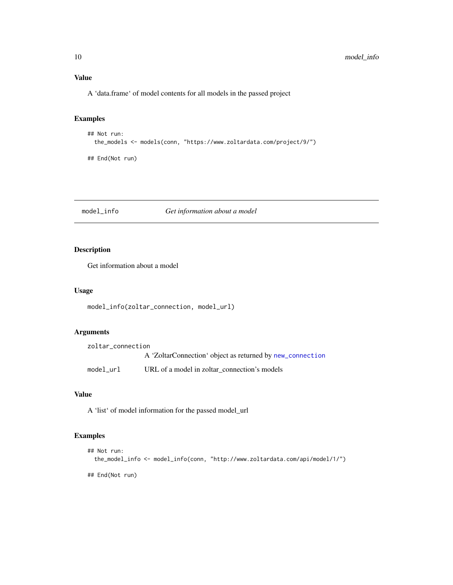#### Value

A 'data.frame' of model contents for all models in the passed project

#### Examples

```
## Not run:
 the_models <- models(conn, "https://www.zoltardata.com/project/9/")
## End(Not run)
```
model\_info *Get information about a model*

#### Description

Get information about a model

#### Usage

```
model_info(zoltar_connection, model_url)
```
#### Arguments

| zoltar connection |                                                           |
|-------------------|-----------------------------------------------------------|
|                   | A 'ZoltarConnection' object as returned by new_connection |
| model url         | URL of a model in zoltar connection's models              |

#### Value

A 'list' of model information for the passed model\_url

#### Examples

```
## Not run:
 the_model_info <- model_info(conn, "http://www.zoltardata.com/api/model/1/")
## End(Not run)
```
<span id="page-9-0"></span>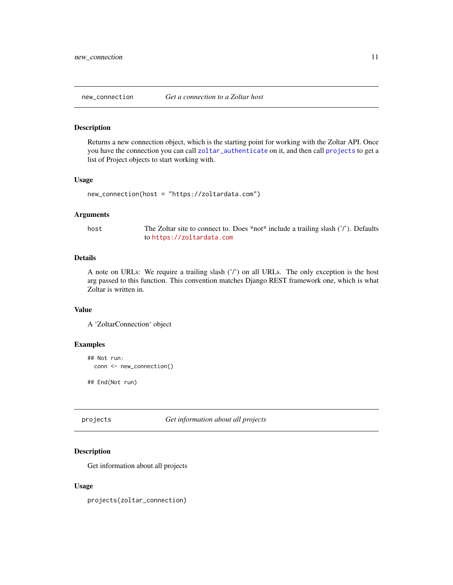<span id="page-10-1"></span><span id="page-10-0"></span>

#### Description

Returns a new connection object, which is the starting point for working with the Zoltar API. Once you have the connection you can call [zoltar\\_authenticate](#page-19-1) on it, and then call [projects](#page-10-2) to get a list of Project objects to start working with.

#### Usage

```
new_connection(host = "https://zoltardata.com")
```
#### Arguments

host The Zoltar site to connect to. Does \*not\* include a trailing slash ('/'). Defaults to <https://zoltardata.com>

#### Details

A note on URLs: We require a trailing slash ('/') on all URLs. The only exception is the host arg passed to this function. This convention matches Django REST framework one, which is what Zoltar is written in.

#### Value

A 'ZoltarConnection' object

#### Examples

```
## Not run:
 conn <- new_connection()
```
## End(Not run)

#### <span id="page-10-2"></span>projects *Get information about all projects*

#### Description

Get information about all projects

#### Usage

projects(zoltar\_connection)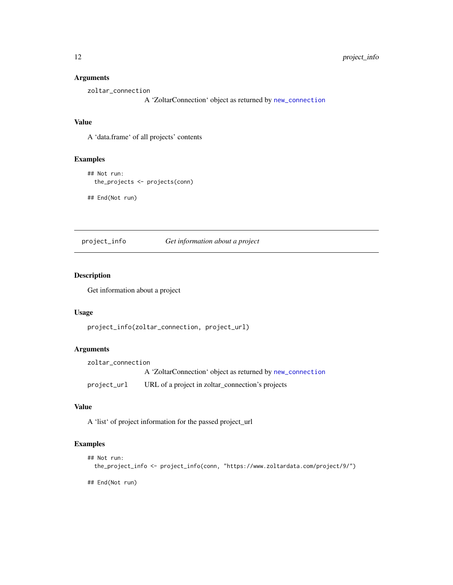#### Arguments

zoltar\_connection

A 'ZoltarConnection' object as returned by [new\\_connection](#page-10-1)

#### Value

A 'data.frame' of all projects' contents

#### Examples

## Not run: the\_projects <- projects(conn)

## End(Not run)

project\_info *Get information about a project*

#### Description

Get information about a project

#### Usage

project\_info(zoltar\_connection, project\_url)

#### Arguments

zoltar\_connection A 'ZoltarConnection' object as returned by [new\\_connection](#page-10-1) project\_url URL of a project in zoltar\_connection's projects

#### Value

A 'list' of project information for the passed project\_url

#### Examples

```
## Not run:
 the_project_info <- project_info(conn, "https://www.zoltardata.com/project/9/")
```
## End(Not run)

<span id="page-11-0"></span>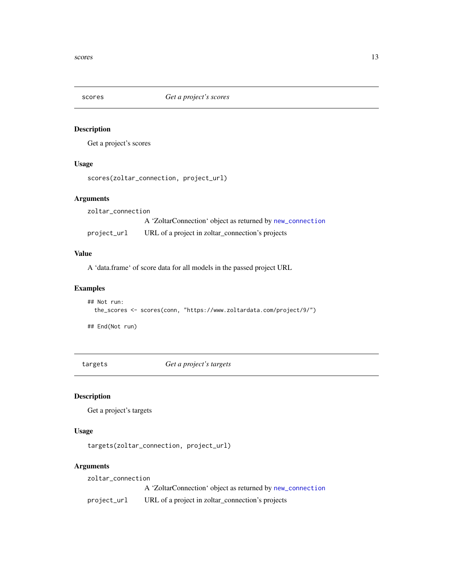<span id="page-12-0"></span>

#### Description

Get a project's scores

#### Usage

scores(zoltar\_connection, project\_url)

#### Arguments

zoltar\_connection A 'ZoltarConnection' object as returned by [new\\_connection](#page-10-1) project\_url URL of a project in zoltar\_connection's projects

#### Value

A 'data.frame' of score data for all models in the passed project URL

#### Examples

```
## Not run:
 the_scores <- scores(conn, "https://www.zoltardata.com/project/9/")
## End(Not run)
```
targets *Get a project's targets*

#### Description

Get a project's targets

#### Usage

targets(zoltar\_connection, project\_url)

#### Arguments

zoltar\_connection

A 'ZoltarConnection' object as returned by [new\\_connection](#page-10-1)

project\_url URL of a project in zoltar\_connection's projects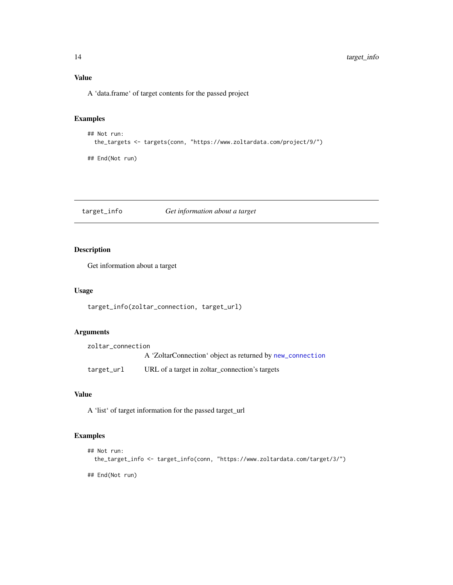A 'data.frame' of target contents for the passed project

#### Examples

```
## Not run:
 the_targets <- targets(conn, "https://www.zoltardata.com/project/9/")
## End(Not run)
```
target\_info *Get information about a target*

#### Description

Get information about a target

#### Usage

```
target_info(zoltar_connection, target_url)
```
#### Arguments

| zoltar connection |                                                           |
|-------------------|-----------------------------------------------------------|
|                   | A 'ZoltarConnection' object as returned by new_connection |
| target_url        | URL of a target in zoltar_connection's targets            |

#### Value

A 'list' of target information for the passed target\_url

#### Examples

```
## Not run:
  the_target_info <- target_info(conn, "https://www.zoltardata.com/target/3/")
## End(Not run)
```
<span id="page-13-0"></span>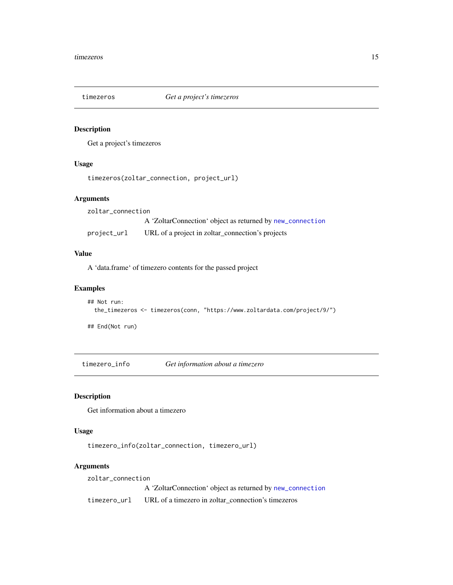<span id="page-14-0"></span>

#### Description

Get a project's timezeros

#### Usage

```
timezeros(zoltar_connection, project_url)
```
#### Arguments

zoltar\_connection A 'ZoltarConnection' object as returned by [new\\_connection](#page-10-1) project\_url URL of a project in zoltar\_connection's projects

#### Value

A 'data.frame' of timezero contents for the passed project

#### Examples

```
## Not run:
 the_timezeros <- timezeros(conn, "https://www.zoltardata.com/project/9/")
## End(Not run)
```
timezero\_info *Get information about a timezero*

#### Description

Get information about a timezero

#### Usage

timezero\_info(zoltar\_connection, timezero\_url)

#### Arguments

zoltar\_connection A 'ZoltarConnection' object as returned by [new\\_connection](#page-10-1) timezero\_url URL of a timezero in zoltar\_connection's timezeros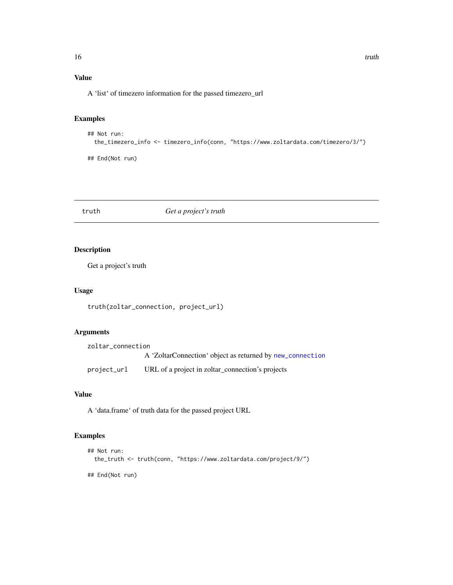#### <span id="page-15-0"></span>Value

A 'list' of timezero information for the passed timezero\_url

#### Examples

```
## Not run:
 the_timezero_info <- timezero_info(conn, "https://www.zoltardata.com/timezero/3/")
## End(Not run)
```
truth *Get a project's truth*

#### Description

Get a project's truth

#### Usage

truth(zoltar\_connection, project\_url)

#### Arguments

| zoltar connection |                                                           |
|-------------------|-----------------------------------------------------------|
|                   | A 'ZoltarConnection' object as returned by new_connection |
| project_url       | URL of a project in zoltar_connection's projects          |

#### Value

A 'data.frame' of truth data for the passed project URL

#### Examples

```
## Not run:
  the_truth <- truth(conn, "https://www.zoltardata.com/project/9/")
## End(Not run)
```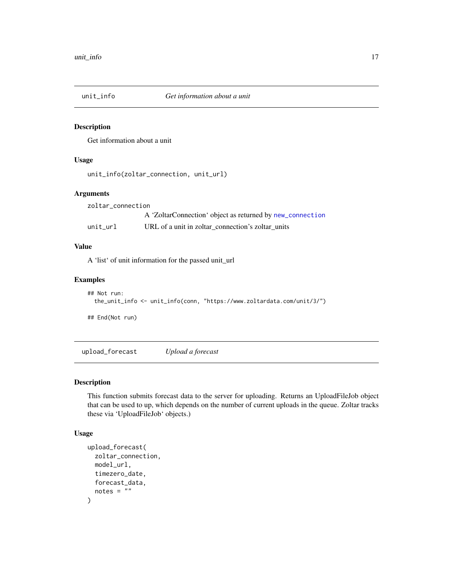<span id="page-16-0"></span>

#### Description

Get information about a unit

#### Usage

```
unit_info(zoltar_connection, unit_url)
```
#### Arguments

| zoltar connection |                                                           |
|-------------------|-----------------------------------------------------------|
|                   | A 'ZoltarConnection' object as returned by new_connection |
| unit url          | URL of a unit in zoltar connection's zoltar units         |

#### Value

A 'list' of unit information for the passed unit\_url

#### Examples

```
## Not run:
 the_unit_info <- unit_info(conn, "https://www.zoltardata.com/unit/3/")
## End(Not run)
```
<span id="page-16-1"></span>upload\_forecast *Upload a forecast*

#### Description

This function submits forecast data to the server for uploading. Returns an UploadFileJob object that can be used to up, which depends on the number of current uploads in the queue. Zoltar tracks these via 'UploadFileJob' objects.)

#### Usage

```
upload_forecast(
  zoltar_connection,
 model_url,
  timezero_date,
  forecast_data,
  notes = "")
```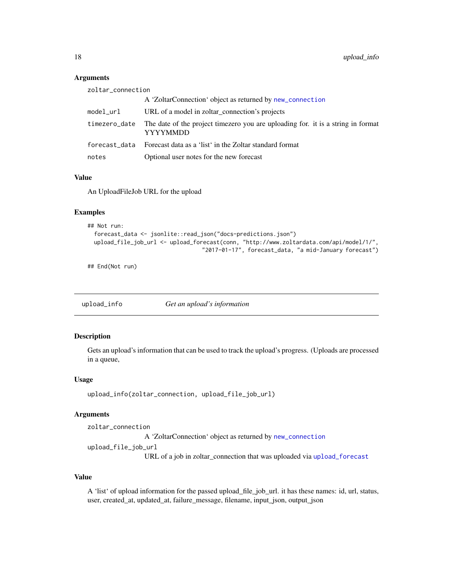#### <span id="page-17-0"></span>Arguments

| The date of the project timezero you are uploading for. it is a string in format |
|----------------------------------------------------------------------------------|
|                                                                                  |
|                                                                                  |
|                                                                                  |

#### Value

An UploadFileJob URL for the upload

#### Examples

```
## Not run:
 forecast_data <- jsonlite::read_json("docs-predictions.json")
 upload_file_job_url <- upload_forecast(conn, "http://www.zoltardata.com/api/model/1/",
                                   "2017-01-17", forecast_data, "a mid-January forecast")
```
## End(Not run)

<span id="page-17-1"></span>upload\_info *Get an upload's information*

#### Description

Gets an upload's information that can be used to track the upload's progress. (Uploads are processed in a queue,

#### Usage

```
upload_info(zoltar_connection, upload_file_job_url)
```
#### Arguments

zoltar\_connection A 'ZoltarConnection' object as returned by [new\\_connection](#page-10-1) upload\_file\_job\_url

URL of a job in zoltar\_connection that was uploaded via [upload\\_forecast](#page-16-1)

#### Value

A 'list' of upload information for the passed upload\_file\_job\_url. it has these names: id, url, status, user, created\_at, updated\_at, failure\_message, filename, input\_json, output\_json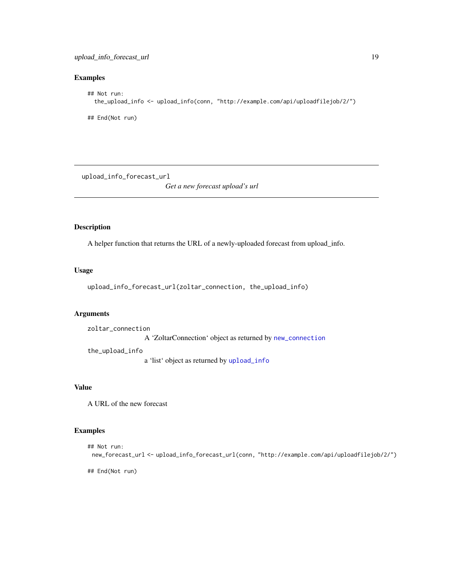#### <span id="page-18-0"></span>Examples

```
## Not run:
  the_upload_info <- upload_info(conn, "http://example.com/api/uploadfilejob/2/")
## End(Not run)
```
upload\_info\_forecast\_url

*Get a new forecast upload's url*

#### Description

A helper function that returns the URL of a newly-uploaded forecast from upload\_info.

#### Usage

```
upload_info_forecast_url(zoltar_connection, the_upload_info)
```
#### Arguments

zoltar\_connection A 'ZoltarConnection' object as returned by [new\\_connection](#page-10-1) the\_upload\_info

a 'list' object as returned by [upload\\_info](#page-17-1)

#### Value

A URL of the new forecast

#### Examples

```
## Not run:
 new_forecast_url <- upload_info_forecast_url(conn, "http://example.com/api/uploadfilejob/2/")
```
## End(Not run)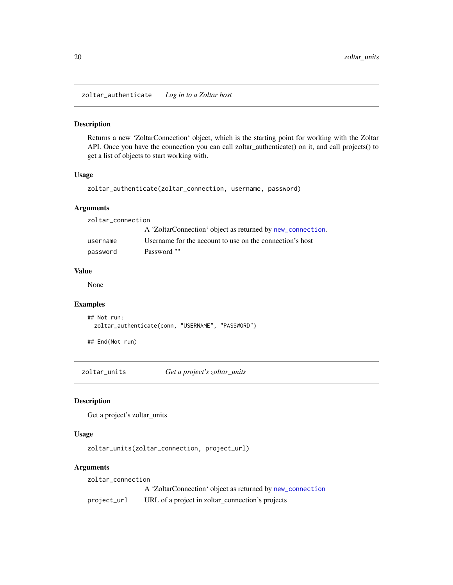<span id="page-19-1"></span><span id="page-19-0"></span>zoltar\_authenticate *Log in to a Zoltar host*

#### Description

Returns a new 'ZoltarConnection' object, which is the starting point for working with the Zoltar API. Once you have the connection you can call zoltar\_authenticate() on it, and call projects() to get a list of objects to start working with.

#### Usage

```
zoltar_authenticate(zoltar_connection, username, password)
```
#### Arguments

| zoltar connection |                                                            |
|-------------------|------------------------------------------------------------|
|                   | A 'ZoltarConnection' object as returned by new_connection. |
| username          | Username for the account to use on the connection's host   |
| password          | Password ""                                                |

#### Value

None

#### Examples

```
## Not run:
 zoltar_authenticate(conn, "USERNAME", "PASSWORD")
```
## End(Not run)

zoltar\_units *Get a project's zoltar\_units*

#### Description

Get a project's zoltar\_units

#### Usage

zoltar\_units(zoltar\_connection, project\_url)

#### Arguments

zoltar\_connection

A 'ZoltarConnection' object as returned by [new\\_connection](#page-10-1) project\_url URL of a project in zoltar\_connection's projects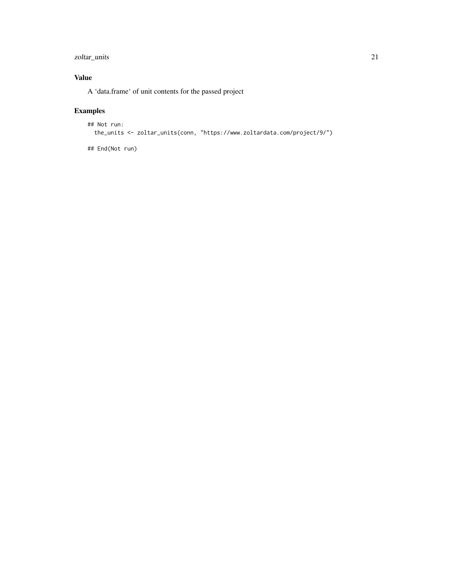#### zoltar\_units 21

#### Value

A 'data.frame' of unit contents for the passed project

### Examples

```
## Not run:
 the_units <- zoltar_units(conn, "https://www.zoltardata.com/project/9/")
```
## End(Not run)